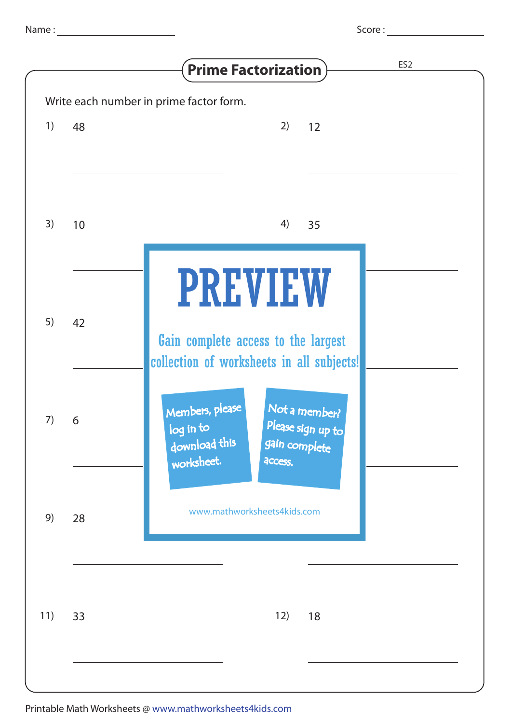| Score : |  |  |
|---------|--|--|
|---------|--|--|

|     |    | ES <sub>2</sub><br><b>Prime Factorization</b>                                                                                 |
|-----|----|-------------------------------------------------------------------------------------------------------------------------------|
| 1)  | 48 | Write each number in prime factor form.<br>2)<br>12                                                                           |
| 3)  | 10 | 4)<br>35                                                                                                                      |
| 5)  | 42 | <b>PREVIEW</b><br>Gain complete access to the largest<br>collection of worksheets in all subjects!                            |
| 7)  | 6  | Members, please<br>Not a member?<br>Please sign up to<br>log in to<br>download this<br>gain complete<br>worksheet.<br>access. |
| 9)  | 28 | www.mathworksheets4kids.com                                                                                                   |
| 11) | 33 | 12)<br>18                                                                                                                     |